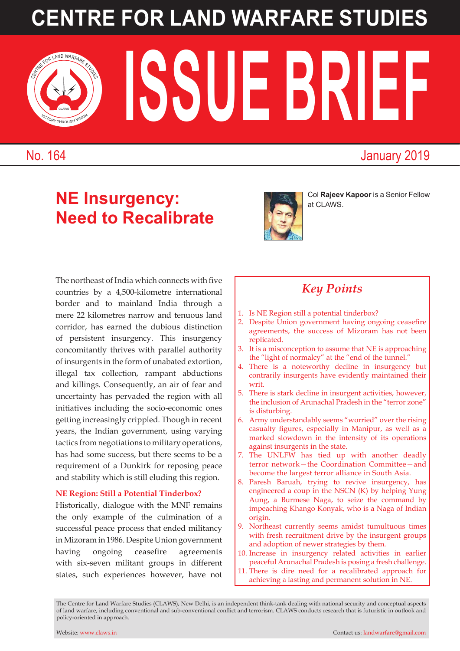# **CENTRE FOR LAND WARFARE STUDIES**

**ISSUE BRIEF** 

No. 164 January 2019

VICTORY THROUGH VISION CLAWS

# **NE Insurgency: Need to Recalibrate**



Col **Rajeev Kapoor** is a Senior Fellow at CLAWS.

The northeast of India which connects with five countries by a 4,500-kilometre international border and to mainland India through a mere 22 kilometres narrow and tenuous land corridor, has earned the dubious distinction of persistent insurgency. This insurgency concomitantly thrives with parallel authority of insurgents in the form of unabated extortion, illegal tax collection, rampant abductions and killings. Consequently, an air of fear and uncertainty has pervaded the region with all initiatives including the socio-economic ones getting increasingly crippled. Though in recent years, the Indian government, using varying tactics from negotiations to military operations, has had some success, but there seems to be a requirement of a Dunkirk for reposing peace and stability which is still eluding this region.

#### **NE Region: Still a Potential Tinderbox?**

Historically, dialogue with the MNF remains the only example of the culmination of a successful peace process that ended militancy in Mizoram in 1986. Despite Union government having ongoing ceasefire agreements with six-seven militant groups in different states, such experiences however, have not

### *Key Points*

- 1. Is NE Region still a potential tinderbox?
- 2. Despite Union government having ongoing ceasefire agreements, the success of Mizoram has not been replicated.
- 3. It is a misconception to assume that NE is approaching the "light of normalcy" at the "end of the tunnel."
- 4. There is a noteworthy decline in insurgency but contrarily insurgents have evidently maintained their writ.
- 5. There is stark decline in insurgent activities, however, the inclusion of Arunachal Pradesh in the "terror zone" is disturbing.
- 6. Army understandably seems "worried" over the rising casualty figures, especially in Manipur, as well as a marked slowdown in the intensity of its operations against insurgents in the state.
- 7. The UNLFW has tied up with another deadly terror network—the Coordination Committee—and become the largest terror alliance in South Asia.
- 8. Paresh Baruah, trying to revive insurgency, has engineered a coup in the NSCN (K) by helping Yung Aung, a Burmese Naga, to seize the command by impeaching Khango Konyak, who is a Naga of Indian origin.
- 9. Northeast currently seems amidst tumultuous times with fresh recruitment drive by the insurgent groups and adoption of newer strategies by them.
- 10. Increase in insurgency related activities in earlier peaceful Arunachal Pradesh is posing a fresh challenge.
- 11. There is dire need for a recalibrated approach for achieving a lasting and permanent solution in NE.

The Centre for Land Warfare Studies (CLAWS), New Delhi, is an independent think-tank dealing with national security and conceptual aspects of land warfare, including conventional and sub-conventional conflict and terrorism. CLAWS conducts research that is futuristic in outlook and policy-oriented in approach.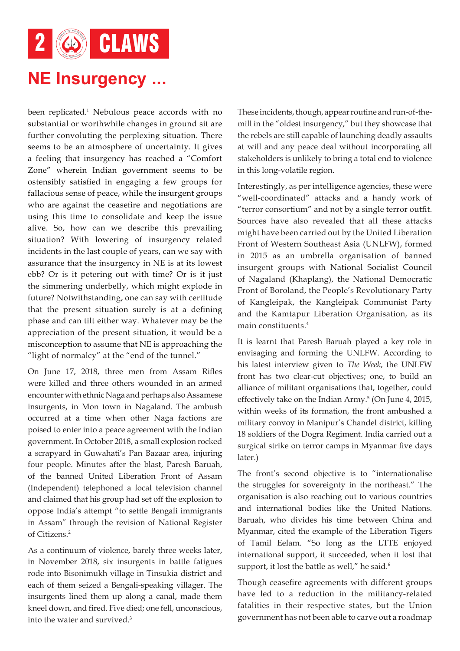2 6 CLAWS

### **NE Insurgency ...**

been replicated.<sup>1</sup> Nebulous peace accords with no substantial or worthwhile changes in ground sit are further convoluting the perplexing situation. There seems to be an atmosphere of uncertainty. It gives a feeling that insurgency has reached a "Comfort Zone" wherein Indian government seems to be ostensibly satisfied in engaging a few groups for fallacious sense of peace, while the insurgent groups who are against the ceasefire and negotiations are using this time to consolidate and keep the issue alive. So, how can we describe this prevailing situation? With lowering of insurgency related incidents in the last couple of years, can we say with assurance that the insurgency in NE is at its lowest ebb? Or is it petering out with time? Or is it just the simmering underbelly, which might explode in future? Notwithstanding, one can say with certitude that the present situation surely is at a defining phase and can tilt either way. Whatever may be the appreciation of the present situation, it would be a misconception to assume that NE is approaching the "light of normalcy" at the "end of the tunnel."

On June 17, 2018, three men from Assam Rifles were killed and three others wounded in an armed encounter with ethnic Naga and perhaps also Assamese insurgents, in Mon town in Nagaland. The ambush occurred at a time when other Naga factions are poised to enter into a peace agreement with the Indian government. In October 2018, a small explosion rocked a scrapyard in Guwahati's Pan Bazaar area, injuring four people. Minutes after the blast, Paresh Baruah, of the banned United Liberation Front of Assam (Independent) telephoned a local television channel and claimed that his group had set off the explosion to oppose India's attempt "to settle Bengali immigrants in Assam" through the revision of National Register of Citizens.2

As a continuum of violence, barely three weeks later, in November 2018, six insurgents in battle fatigues rode into Bisonimukh village in Tinsukia district and each of them seized a Bengali-speaking villager. The insurgents lined them up along a canal, made them kneel down, and fired. Five died; one fell, unconscious, into the water and survived.3

These incidents, though, appear routine and run-of-themill in the "oldest insurgency," but they showcase that the rebels are still capable of launching deadly assaults at will and any peace deal without incorporating all stakeholders is unlikely to bring a total end to violence in this long-volatile region.

Interestingly, as per intelligence agencies, these were "well-coordinated" attacks and a handy work of "terror consortium" and not by a single terror outfit. Sources have also revealed that all these attacks might have been carried out by the United Liberation Front of Western Southeast Asia (UNLFW), formed in 2015 as an umbrella organisation of banned insurgent groups with National Socialist Council of Nagaland (Khaplang), the National Democratic Front of Boroland, the People's Revolutionary Party of Kangleipak, the Kangleipak Communist Party and the Kamtapur Liberation Organisation, as its main constituents.4

It is learnt that Paresh Baruah played a key role in envisaging and forming the UNLFW. According to his latest interview given to *The Week*, the UNLFW front has two clear-cut objectives; one, to build an alliance of militant organisations that, together, could effectively take on the Indian Army.<sup>5</sup> (On June 4, 2015, within weeks of its formation, the front ambushed a military convoy in Manipur's Chandel district, killing 18 soldiers of the Dogra Regiment. India carried out a surgical strike on terror camps in Myanmar five days later.)

The front's second objective is to "internationalise the struggles for sovereignty in the northeast." The organisation is also reaching out to various countries and international bodies like the United Nations. Baruah, who divides his time between China and Myanmar, cited the example of the Liberation Tigers of Tamil Eelam. "So long as the LTTE enjoyed international support, it succeeded, when it lost that support, it lost the battle as well," he said.<sup>6</sup>

Though ceasefire agreements with different groups have led to a reduction in the militancy-related fatalities in their respective states, but the Union government has not been able to carve out a roadmap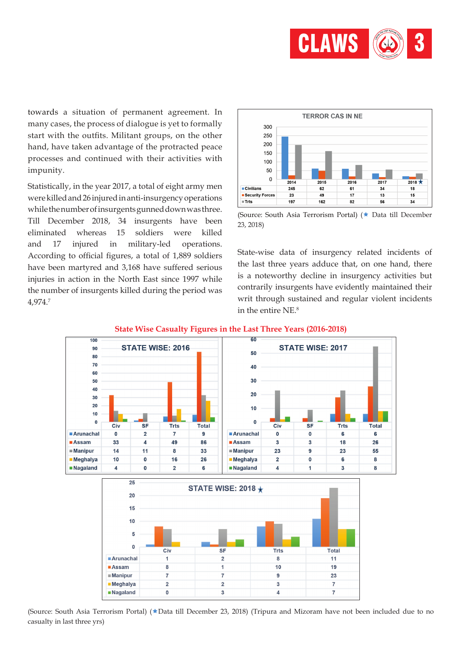

towards a situation of permanent agreement. In many cases, the process of dialogue is yet to formally start with the outfits. Militant groups, on the other hand, have taken advantage of the protracted peace processes and continued with their activities with impunity.

Statistically, in the year 2017, a total of eight army men were killed and 26 injured in anti-insurgency operations while the number of insurgents gunned down was three. Till December 2018, 34 insurgents have been eliminated whereas 15 soldiers were killed and 17 injured in military-led operations. According to official figures, a total of 1,889 soldiers have been martyred and 3,168 have suffered serious injuries in action in the North East since 1997 while the number of insurgents killed during the period was 4,974.7



<sup>(</sup>Source: South Asia Terrorism Portal) (★ Data till December 23, 2018)

State-wise data of insurgency related incidents of the last three years adduce that, on one hand, there is a noteworthy decline in insurgency activities but contrarily insurgents have evidently maintained their writ through sustained and regular violent incidents in the entire NE.8



#### **State Wise Casualty Figures in the Last Three Years (2016-2018)**

(Source: South Asia Terrorism Portal) ( $\star$ Data till December 23, 2018) (Tripura and Mizoram have not been included due to no casualty in last three yrs)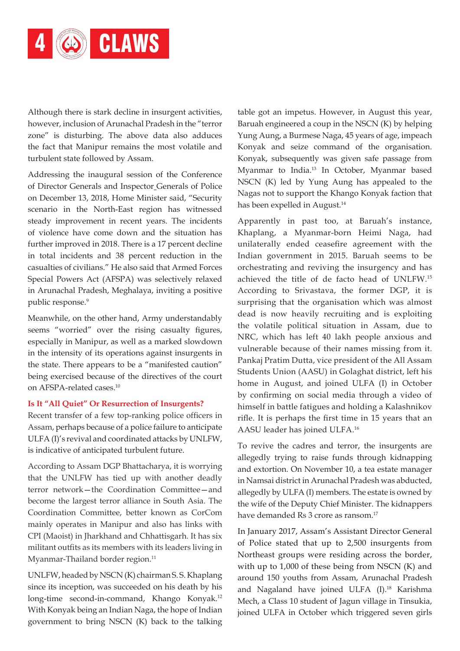

Although there is stark decline in insurgent activities, however, inclusion of Arunachal Pradesh in the "terror zone" is disturbing. The above data also adduces the fact that Manipur remains the most volatile and turbulent state followed by Assam.

Addressing the inaugural session of the Conference of Director Generals and Inspector Generals of Police on December 13, 2018, Home Minister said, "Security scenario in the North-East region has witnessed steady improvement in recent years. The incidents of violence have come down and the situation has further improved in 2018. There is a 17 percent decline in total incidents and 38 percent reduction in the casualties of civilians." He also said that Armed Forces Special Powers Act (AFSPA) was selectively relaxed in Arunachal Pradesh, Meghalaya, inviting a positive public response.<sup>9</sup>

Meanwhile, on the other hand, Army understandably seems "worried" over the rising casualty figures, especially in Manipur, as well as a marked slowdown in the intensity of its operations against insurgents in the state. There appears to be a "manifested caution" being exercised because of the directives of the court on AFSPA-related cases.10

#### **Is It "All Quiet" Or Resurrection of Insurgents?**

Recent transfer of a few top-ranking police officers in Assam, perhaps because of a police failure to anticipate ULFA (I)'s revival and coordinated attacks by UNLFW, is indicative of anticipated turbulent future.

According to Assam DGP Bhattacharya, it is worrying that the UNLFW has tied up with another deadly terror network—the Coordination Committee—and become the largest terror alliance in South Asia. The Coordination Committee, better known as CorCom mainly operates in Manipur and also has links with CPI (Maoist) in Jharkhand and Chhattisgarh. It has six militant outfits as its members with its leaders living in Myanmar-Thailand border region.<sup>11</sup>

UNLFW, headed by NSCN (K) chairman S. S. Khaplang since its inception, was succeeded on his death by his long-time second-in-command, Khango Konyak.12 With Konyak being an Indian Naga, the hope of Indian government to bring NSCN (K) back to the talking

table got an impetus. However, in August this year, Baruah engineered a coup in the NSCN (K) by helping Yung Aung, a Burmese Naga, 45 years of age, impeach Konyak and seize command of the organisation. Konyak, subsequently was given safe passage from Myanmar to India.13 In October, Myanmar based NSCN (K) led by Yung Aung has appealed to the Nagas not to support the Khango Konyak faction that has been expelled in August.<sup>14</sup>

Apparently in past too, at Baruah's instance, Khaplang, a Myanmar-born Heimi Naga, had unilaterally ended ceasefire agreement with the Indian government in 2015. Baruah seems to be orchestrating and reviving the insurgency and has achieved the title of de facto head of UNLFW.15 According to Srivastava, the former DGP, it is surprising that the organisation which was almost dead is now heavily recruiting and is exploiting the volatile political situation in Assam, due to NRC, which has left 40 lakh people anxious and vulnerable because of their names missing from it. Pankaj Pratim Dutta, vice president of the All Assam Students Union (AASU) in Golaghat district, left his home in August, and joined ULFA (I) in October by confirming on social media through a video of himself in battle fatigues and holding a Kalashnikov rifle. It is perhaps the first time in 15 years that an AASU leader has joined ULFA.16

To revive the cadres and terror, the insurgents are allegedly trying to raise funds through kidnapping and extortion. On November 10, a tea estate manager in Namsai district in Arunachal Pradesh was abducted, allegedly by ULFA (I) members. The estate is owned by the wife of the Deputy Chief Minister. The kidnappers have demanded Rs 3 crore as ransom.<sup>17</sup>

In January 2017, Assam's Assistant Director General of Police stated that up to 2,500 insurgents from Northeast groups were residing across the border, with up to 1,000 of these being from NSCN (K) and around 150 youths from Assam, Arunachal Pradesh and Nagaland have joined ULFA (I).<sup>18</sup> Karishma Mech, a Class 10 student of Jagun village in Tinsukia, joined ULFA in October which triggered seven girls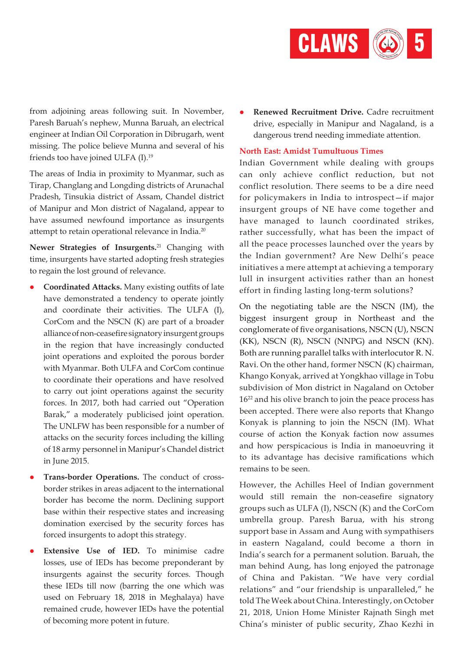

from adjoining areas following suit. In November, Paresh Baruah's nephew, Munna Baruah, an electrical engineer at Indian Oil Corporation in Dibrugarh, went missing. The police believe Munna and several of his friends too have joined ULFA (I).19

The areas of India in proximity to Myanmar, such as Tirap, Changlang and Longding districts of Arunachal Pradesh, Tinsukia district of Assam, Chandel district of Manipur and Mon district of Nagaland, appear to have assumed newfound importance as insurgents attempt to retain operational relevance in India.20

**Newer Strategies of Insurgents.**21 Changing with time, insurgents have started adopting fresh strategies to regain the lost ground of relevance.

- l **Coordinated Attacks.** Many existing outfits of late have demonstrated a tendency to operate jointly and coordinate their activities. The ULFA (I), CorCom and the NSCN (K) are part of a broader alliance of non-ceasefire signatory insurgent groups in the region that have increasingly conducted joint operations and exploited the porous border with Myanmar. Both ULFA and CorCom continue to coordinate their operations and have resolved to carry out joint operations against the security forces. In 2017, both had carried out "Operation Barak," a moderately publicised joint operation. The UNLFW has been responsible for a number of attacks on the security forces including the killing of 18 army personnel in Manipur's Chandel district in June 2015.
- Trans-border Operations. The conduct of crossborder strikes in areas adjacent to the international border has become the norm. Declining support base within their respective states and increasing domination exercised by the security forces has forced insurgents to adopt this strategy.
- l **Extensive Use of IED.** To minimise cadre losses, use of IEDs has become preponderant by insurgents against the security forces. Though these IEDs till now (barring the one which was used on February 18, 2018 in Meghalaya) have remained crude, however IEDs have the potential of becoming more potent in future.

l **Renewed Recruitment Drive.** Cadre recruitment drive, especially in Manipur and Nagaland, is a dangerous trend needing immediate attention.

#### **North East: Amidst Tumultuous Times**

Indian Government while dealing with groups can only achieve conflict reduction, but not conflict resolution. There seems to be a dire need for policymakers in India to introspect—if major insurgent groups of NE have come together and have managed to launch coordinated strikes, rather successfully, what has been the impact of all the peace processes launched over the years by the Indian government? Are New Delhi's peace initiatives a mere attempt at achieving a temporary lull in insurgent activities rather than an honest effort in finding lasting long-term solutions?

On the negotiating table are the NSCN (IM), the biggest insurgent group in Northeast and the conglomerate of five organisations, NSCN (U), NSCN (KK), NSCN (R), NSCN (NNPG) and NSCN (KN). Both are running parallel talks with interlocutor R. N. Ravi. On the other hand, former NSCN (K) chairman, Khango Konyak, arrived at Yongkhao village in Tobu subdivision of Mon district in Nagaland on October 16<sup>22</sup> and his olive branch to join the peace process has been accepted. There were also reports that Khango Konyak is planning to join the NSCN (IM). What course of action the Konyak faction now assumes and how perspicacious is India in manoeuvring it to its advantage has decisive ramifications which remains to be seen.

However, the Achilles Heel of Indian government would still remain the non-ceasefire signatory groups such as ULFA (I), NSCN (K) and the CorCom umbrella group. Paresh Barua, with his strong support base in Assam and Aung with sympathisers in eastern Nagaland, could become a thorn in India's search for a permanent solution. Baruah, the man behind Aung, has long enjoyed the patronage of China and Pakistan. "We have very cordial relations" and "our friendship is unparalleled," he told The Week about China. Interestingly, on October 21, 2018, Union Home Minister Rajnath Singh met China's minister of public security, Zhao Kezhi in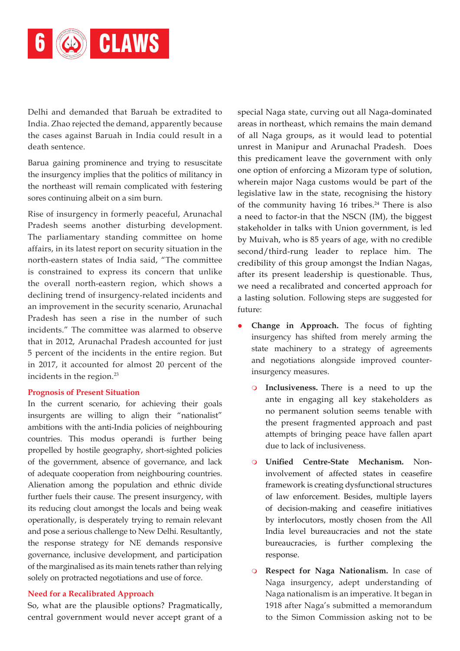

Delhi and demanded that Baruah be extradited to India. Zhao rejected the demand, apparently because the cases against Baruah in India could result in a death sentence.

Barua gaining prominence and trying to resuscitate the insurgency implies that the politics of militancy in the northeast will remain complicated with festering sores continuing albeit on a sim burn.

Rise of insurgency in formerly peaceful, Arunachal Pradesh seems another disturbing development. The parliamentary standing committee on home affairs, in its latest report on security situation in the north-eastern states of India said, "The committee is constrained to express its concern that unlike the overall north-eastern region, which shows a declining trend of insurgency-related incidents and an improvement in the security scenario, Arunachal Pradesh has seen a rise in the number of such incidents." The committee was alarmed to observe that in 2012, Arunachal Pradesh accounted for just 5 percent of the incidents in the entire region. But in 2017, it accounted for almost 20 percent of the incidents in the region.<sup>23</sup>

#### **Prognosis of Present Situation**

In the current scenario, for achieving their goals insurgents are willing to align their "nationalist" ambitions with the anti-India policies of neighbouring countries. This modus operandi is further being propelled by hostile geography, short-sighted policies of the government, absence of governance, and lack of adequate cooperation from neighbouring countries. Alienation among the population and ethnic divide further fuels their cause. The present insurgency, with its reducing clout amongst the locals and being weak operationally, is desperately trying to remain relevant and pose a serious challenge to New Delhi. Resultantly, the response strategy for NE demands responsive governance, inclusive development, and participation of the marginalised as its main tenets rather than relying solely on protracted negotiations and use of force.

#### **Need for a Recalibrated Approach**

So, what are the plausible options? Pragmatically, central government would never accept grant of a special Naga state, curving out all Naga-dominated areas in northeast, which remains the main demand of all Naga groups, as it would lead to potential unrest in Manipur and Arunachal Pradesh. Does this predicament leave the government with only one option of enforcing a Mizoram type of solution, wherein major Naga customs would be part of the legislative law in the state, recognising the history of the community having  $16$  tribes.<sup>24</sup> There is also a need to factor-in that the NSCN (IM), the biggest stakeholder in talks with Union government, is led by Muivah, who is 85 years of age, with no credible second/third-rung leader to replace him. The credibility of this group amongst the Indian Nagas, after its present leadership is questionable. Thus, we need a recalibrated and concerted approach for a lasting solution. Following steps are suggested for future:

- l **Change in Approach.** The focus of fighting insurgency has shifted from merely arming the state machinery to a strategy of agreements and negotiations alongside improved counterinsurgency measures.
	- **O** Inclusiveness. There is a need to up the ante in engaging all key stakeholders as no permanent solution seems tenable with the present fragmented approach and past attempts of bringing peace have fallen apart due to lack of inclusiveness.
	- m **Unified Centre-State Mechanism.** Noninvolvement of affected states in ceasefire framework is creating dysfunctional structures of law enforcement. Besides, multiple layers of decision-making and ceasefire initiatives by interlocutors, mostly chosen from the All India level bureaucracies and not the state bureaucracies, is further complexing the response.
	- m **Respect for Naga Nationalism.** In case of Naga insurgency, adept understanding of Naga nationalism is an imperative. It began in 1918 after Naga's submitted a memorandum to the Simon Commission asking not to be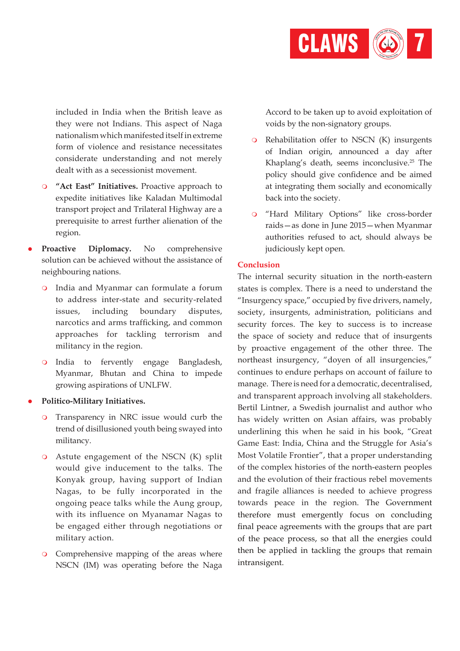

included in India when the British leave as they were not Indians. This aspect of Naga nationalism which manifested itself in extreme form of violence and resistance necessitates considerate understanding and not merely dealt with as a secessionist movement.

- **9 "Act East" Initiatives.** Proactive approach to expedite initiatives like Kaladan Multimodal transport project and Trilateral Highway are a prerequisite to arrest further alienation of the region.
- Proactive Diplomacy. No comprehensive solution can be achieved without the assistance of neighbouring nations.
	- o India and Myanmar can formulate a forum to address inter-state and security-related issues, including boundary disputes, narcotics and arms trafficking, and common approaches for tackling terrorism and militancy in the region.
	- o India to fervently engage Bangladesh, Myanmar, Bhutan and China to impede growing aspirations of UNLFW.

#### l **Politico-Military Initiatives.**

- m Transparency in NRC issue would curb the trend of disillusioned youth being swayed into militancy.
- $\circ$  Astute engagement of the NSCN (K) split would give inducement to the talks. The Konyak group, having support of Indian Nagas, to be fully incorporated in the ongoing peace talks while the Aung group, with its influence on Myanamar Nagas to be engaged either through negotiations or military action.
- **O** Comprehensive mapping of the areas where NSCN (IM) was operating before the Naga

Accord to be taken up to avoid exploitation of voids by the non-signatory groups.

- $\circ$  Rehabilitation offer to NSCN (K) insurgents of Indian origin, announced a day after Khaplang's death, seems inconclusive.<sup>25</sup> The policy should give confidence and be aimed at integrating them socially and economically back into the society.
- o "Hard Military Options" like cross-border raids—as done in June 2015—when Myanmar authorities refused to act, should always be judiciously kept open.

#### **Conclusion**

The internal security situation in the north-eastern states is complex. There is a need to understand the "Insurgency space," occupied by five drivers, namely, society, insurgents, administration, politicians and security forces. The key to success is to increase the space of society and reduce that of insurgents by proactive engagement of the other three. The northeast insurgency, "doyen of all insurgencies," continues to endure perhaps on account of failure to manage. There is need for a democratic, decentralised, and transparent approach involving all stakeholders. Bertil Lintner, a Swedish journalist and author who has widely written on Asian affairs, was probably underlining this when he said in his book, "Great Game East: India, China and the Struggle for Asia's Most Volatile Frontier", that a proper understanding of the complex histories of the north-eastern peoples and the evolution of their fractious rebel movements and fragile alliances is needed to achieve progress towards peace in the region. The Government therefore must emergently focus on concluding final peace agreements with the groups that are part of the peace process, so that all the energies could then be applied in tackling the groups that remain intransigent.